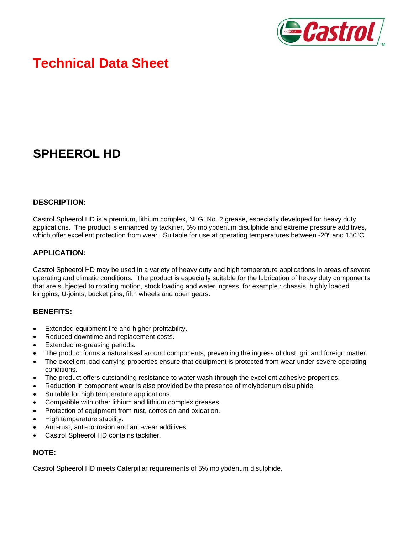

# **Technical Data Sheet**

# **SPHEEROL HD**

#### **DESCRIPTION:**

Castrol Spheerol HD is a premium, lithium complex, NLGI No. 2 grease, especially developed for heavy duty applications. The product is enhanced by tackifier, 5% molybdenum disulphide and extreme pressure additives, which offer excellent protection from wear. Suitable for use at operating temperatures between -20<sup>°</sup> and 150<sup>°</sup>C.

#### **APPLICATION:**

Castrol Spheerol HD may be used in a variety of heavy duty and high temperature applications in areas of severe operating and climatic conditions. The product is especially suitable for the lubrication of heavy duty components that are subjected to rotating motion, stock loading and water ingress, for example : chassis, highly loaded kingpins, U-joints, bucket pins, fifth wheels and open gears.

#### **BENEFITS:**

- Extended equipment life and higher profitability.
- Reduced downtime and replacement costs.
- Extended re-greasing periods.
- The product forms a natural seal around components, preventing the ingress of dust, grit and foreign matter.
- The excellent load carrying properties ensure that equipment is protected from wear under severe operating conditions.
- The product offers outstanding resistance to water wash through the excellent adhesive properties.
- Reduction in component wear is also provided by the presence of molybdenum disulphide.
- Suitable for high temperature applications.
- Compatible with other lithium and lithium complex greases.
- Protection of equipment from rust, corrosion and oxidation.
- High temperature stability.
- Anti-rust, anti-corrosion and anti-wear additives.
- Castrol Spheerol HD contains tackifier.

### **NOTE:**

Castrol Spheerol HD meets Caterpillar requirements of 5% molybdenum disulphide.